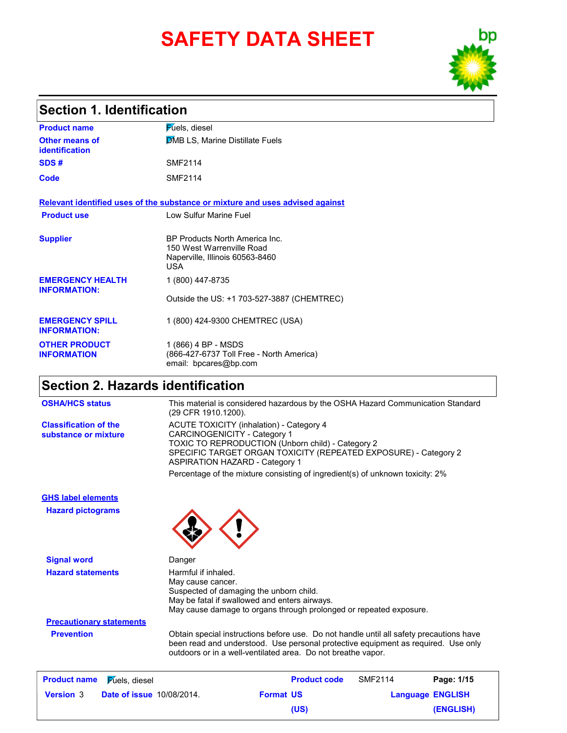# **SAFETY DATA SHEET**



### **Section 1. Identification**

| <b>Product name</b>                            | <b>Fuels</b> , diesel                                                                                 |
|------------------------------------------------|-------------------------------------------------------------------------------------------------------|
| Other means of<br><b>identification</b>        | <b>DMB LS, Marine Distillate Fuels</b>                                                                |
| SDS#                                           | <b>SMF2114</b>                                                                                        |
| Code                                           | <b>SMF2114</b>                                                                                        |
|                                                | Relevant identified uses of the substance or mixture and uses advised against                         |
| <b>Product use</b>                             | Low Sulfur Marine Fuel                                                                                |
| <b>Supplier</b>                                | BP Products North America Inc.<br>150 West Warrenville Road<br>Naperville, Illinois 60563-8460<br>USA |
| <b>EMERGENCY HEALTH</b><br><b>INFORMATION:</b> | 1 (800) 447-8735                                                                                      |
|                                                | Outside the US: +1 703-527-3887 (CHEMTREC)                                                            |
| <b>EMERGENCY SPILL</b><br><b>INFORMATION:</b>  | 1 (800) 424-9300 CHEMTREC (USA)                                                                       |
| <b>OTHER PRODUCT</b><br><b>INFORMATION</b>     | 1 (866) 4 BP - MSDS<br>(866-427-6737 Toll Free - North America)<br>email: bpcares@bp.com              |

### **Section 2. Hazards identification**

**Classification of the substance or mixture**

ACUTE TOXICITY (inhalation) - Category 4 CARCINOGENICITY - Category 1 TOXIC TO REPRODUCTION (Unborn child) - Category 2 SPECIFIC TARGET ORGAN TOXICITY (REPEATED EXPOSURE) - Category 2 ASPIRATION HAZARD - Category 1 Percentage of the mixture consisting of ingredient(s) of unknown toxicity: 2% **OSHA/HCS status** This material is considered hazardous by the OSHA Hazard Communication Standard (29 CFR 1910.1200).

**Hazard pictograms GHS label elements**

**Signal word** Danger **Hazard statements** Harmful if inhaled.



May cause cancer. Suspected of damaging the unborn child. May be fatal if swallowed and enters airways. May cause damage to organs through prolonged or repeated exposure.

**Precautionary statements**

**Prevention** Obtain special instructions before use. Do not handle until all safety precautions have been read and understood. Use personal protective equipment as required. Use only outdoors or in a well-ventilated area. Do not breathe vapor.

| <b>Product name</b> | $\mathsf F$ úels, diesel         |                  | <b>Product code</b> | <b>SMF2114</b>          | Page: 1/15 |  |
|---------------------|----------------------------------|------------------|---------------------|-------------------------|------------|--|
| <b>Version 3</b>    | <b>Date of issue 10/08/2014.</b> | <b>Format US</b> |                     | <b>Language ENGLISH</b> |            |  |
|                     |                                  |                  | (US)                |                         | (ENGLISH)  |  |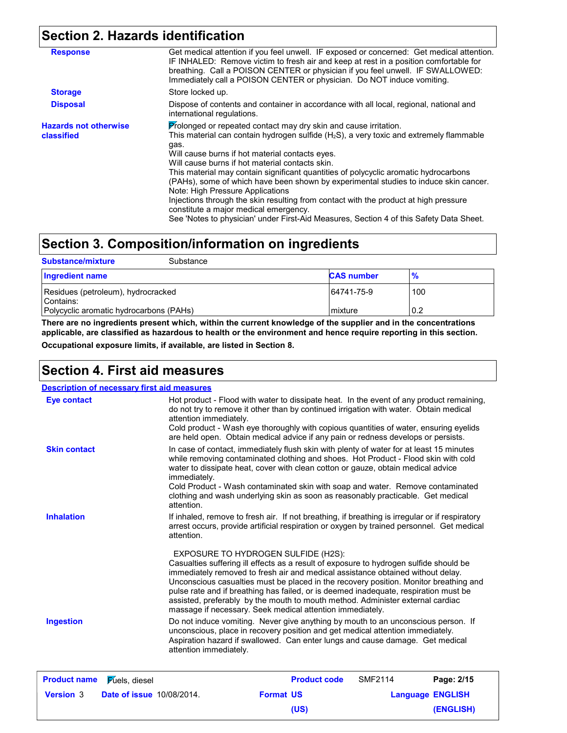## **Section 2. Hazards identification**

| <b>Response</b>                            | Get medical attention if you feel unwell. IF exposed or concerned: Get medical attention.<br>IF INHALED: Remove victim to fresh air and keep at rest in a position comfortable for<br>breathing. Call a POISON CENTER or physician if you feel unwell. IF SWALLOWED:<br>Immediately call a POISON CENTER or physician. Do NOT induce vomiting.                                                                                                                                                                                                                                                                                                                                                                                        |
|--------------------------------------------|---------------------------------------------------------------------------------------------------------------------------------------------------------------------------------------------------------------------------------------------------------------------------------------------------------------------------------------------------------------------------------------------------------------------------------------------------------------------------------------------------------------------------------------------------------------------------------------------------------------------------------------------------------------------------------------------------------------------------------------|
| <b>Storage</b>                             | Store locked up.                                                                                                                                                                                                                                                                                                                                                                                                                                                                                                                                                                                                                                                                                                                      |
| <b>Disposal</b>                            | Dispose of contents and container in accordance with all local, regional, national and<br>international regulations.                                                                                                                                                                                                                                                                                                                                                                                                                                                                                                                                                                                                                  |
| <b>Hazards not otherwise</b><br>classified | Prolonged or repeated contact may dry skin and cause irritation.<br>This material can contain hydrogen sulfide (H <sub>2</sub> S), a very toxic and extremely flammable<br>gas.<br>Will cause burns if hot material contacts eyes.<br>Will cause burns if hot material contacts skin.<br>This material may contain significant quantities of polycyclic aromatic hydrocarbons<br>(PAHs), some of which have been shown by experimental studies to induce skin cancer.<br>Note: High Pressure Applications<br>Injections through the skin resulting from contact with the product at high pressure<br>constitute a major medical emergency.<br>See 'Notes to physician' under First-Aid Measures, Section 4 of this Safety Data Sheet. |

## **Section 3. Composition/information on ingredients**

| <b>Substance/mixture</b>                                                                   | Substance |                       |               |
|--------------------------------------------------------------------------------------------|-----------|-----------------------|---------------|
| <b>Ingredient name</b>                                                                     |           | <b>CAS number</b>     | $\frac{9}{6}$ |
| Residues (petroleum), hydrocracked<br>Contains:<br>Polycyclic aromatic hydrocarbons (PAHs) |           | 64741-75-9<br>mixture | 100<br>0.2    |
|                                                                                            |           |                       |               |

**There are no ingredients present which, within the current knowledge of the supplier and in the concentrations applicable, are classified as hazardous to health or the environment and hence require reporting in this section.**

**Occupational exposure limits, if available, are listed in Section 8.**

### **Section 4. First aid measures**

**Description of necessary first aid measures**

| <b>Product name</b> | <b>Fuels</b> , diesel | <b>Product code</b><br><b>SMF2114</b><br>Page: 2/15                                                                                                                                                                                                                                                                                                                                                                                                                                                                                              |
|---------------------|-----------------------|--------------------------------------------------------------------------------------------------------------------------------------------------------------------------------------------------------------------------------------------------------------------------------------------------------------------------------------------------------------------------------------------------------------------------------------------------------------------------------------------------------------------------------------------------|
| <b>Ingestion</b>    |                       | Do not induce vomiting. Never give anything by mouth to an unconscious person. If<br>unconscious, place in recovery position and get medical attention immediately.<br>Aspiration hazard if swallowed. Can enter lungs and cause damage. Get medical<br>attention immediately.                                                                                                                                                                                                                                                                   |
|                     |                       | EXPOSURE TO HYDROGEN SULFIDE (H2S):<br>Casualties suffering ill effects as a result of exposure to hydrogen sulfide should be<br>immediately removed to fresh air and medical assistance obtained without delay.<br>Unconscious casualties must be placed in the recovery position. Monitor breathing and<br>pulse rate and if breathing has failed, or is deemed inadequate, respiration must be<br>assisted, preferably by the mouth to mouth method. Administer external cardiac<br>massage if necessary. Seek medical attention immediately. |
| <b>Inhalation</b>   |                       | If inhaled, remove to fresh air. If not breathing, if breathing is irregular or if respiratory<br>arrest occurs, provide artificial respiration or oxygen by trained personnel. Get medical<br>attention.                                                                                                                                                                                                                                                                                                                                        |
|                     |                       | water to dissipate heat, cover with clean cotton or gauze, obtain medical advice<br>immediately.<br>Cold Product - Wash contaminated skin with soap and water. Remove contaminated<br>clothing and wash underlying skin as soon as reasonably practicable. Get medical<br>attention.                                                                                                                                                                                                                                                             |
| <b>Skin contact</b> |                       | In case of contact, immediately flush skin with plenty of water for at least 15 minutes<br>while removing contaminated clothing and shoes. Hot Product - Flood skin with cold                                                                                                                                                                                                                                                                                                                                                                    |
| <b>Eye contact</b>  |                       | Hot product - Flood with water to dissipate heat. In the event of any product remaining,<br>do not try to remove it other than by continued irrigation with water. Obtain medical<br>attention immediately.<br>Cold product - Wash eye thoroughly with copious quantities of water, ensuring eyelids<br>are held open. Obtain medical advice if any pain or redness develops or persists.                                                                                                                                                        |

| <b>Product name</b> Fuels, diesel |                                  |                  | <b>Product code</b> | SMF2114 | Page: 2/15              |
|-----------------------------------|----------------------------------|------------------|---------------------|---------|-------------------------|
| <b>Version 3</b>                  | <b>Date of issue 10/08/2014.</b> | <b>Format US</b> |                     |         | <b>Language ENGLISH</b> |
|                                   |                                  |                  | (US)                |         | (ENGLISH)               |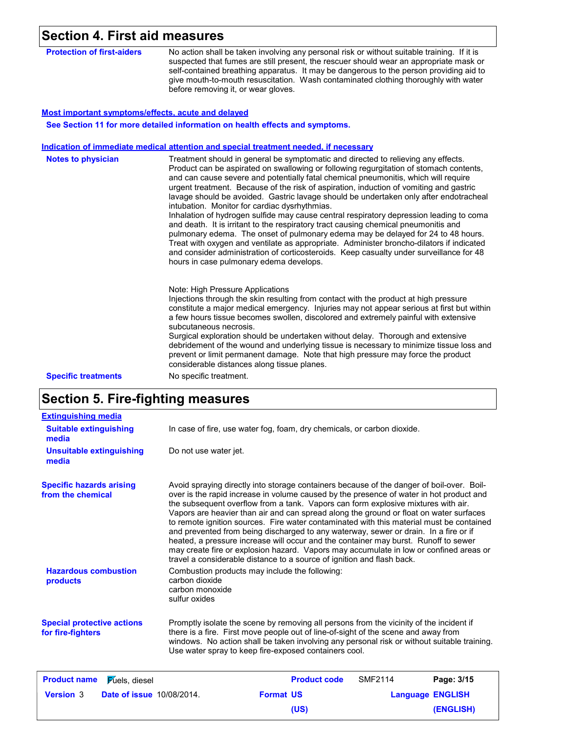## **Section 4. First aid measures**

| <b>Protection of first-aiders</b> | No action shall be taken involving any personal risk or without suitable training. If it is<br>suspected that fumes are still present, the rescuer should wear an appropriate mask or<br>self-contained breathing apparatus. It may be dangerous to the person providing aid to |
|-----------------------------------|---------------------------------------------------------------------------------------------------------------------------------------------------------------------------------------------------------------------------------------------------------------------------------|
|                                   | give mouth-to-mouth resuscitation. Wash contaminated clothing thoroughly with water                                                                                                                                                                                             |
|                                   | before removing it, or wear gloves.                                                                                                                                                                                                                                             |

#### **Most important symptoms/effects, acute and delayed**

**See Section 11 for more detailed information on health effects and symptoms.**

#### **Indication of immediate medical attention and special treatment needed, if necessary**

| <b>Notes to physician</b>  | Treatment should in general be symptomatic and directed to relieving any effects.<br>Product can be aspirated on swallowing or following regurgitation of stomach contents,<br>and can cause severe and potentially fatal chemical pneumonitis, which will require<br>urgent treatment. Because of the risk of aspiration, induction of vomiting and gastric<br>lavage should be avoided. Gastric lavage should be undertaken only after endotracheal<br>intubation. Monitor for cardiac dysrhythmias.<br>Inhalation of hydrogen sulfide may cause central respiratory depression leading to coma<br>and death. It is irritant to the respiratory tract causing chemical pneumonitis and<br>pulmonary edema. The onset of pulmonary edema may be delayed for 24 to 48 hours.<br>Treat with oxygen and ventilate as appropriate. Administer broncho-dilators if indicated<br>and consider administration of corticosteroids. Keep casualty under surveillance for 48<br>hours in case pulmonary edema develops. |
|----------------------------|----------------------------------------------------------------------------------------------------------------------------------------------------------------------------------------------------------------------------------------------------------------------------------------------------------------------------------------------------------------------------------------------------------------------------------------------------------------------------------------------------------------------------------------------------------------------------------------------------------------------------------------------------------------------------------------------------------------------------------------------------------------------------------------------------------------------------------------------------------------------------------------------------------------------------------------------------------------------------------------------------------------|
| <b>Specific treatments</b> | Note: High Pressure Applications<br>Injections through the skin resulting from contact with the product at high pressure<br>constitute a major medical emergency. Injuries may not appear serious at first but within<br>a few hours tissue becomes swollen, discolored and extremely painful with extensive<br>subcutaneous necrosis.<br>Surgical exploration should be undertaken without delay. Thorough and extensive<br>debridement of the wound and underlying tissue is necessary to minimize tissue loss and<br>prevent or limit permanent damage. Note that high pressure may force the product<br>considerable distances along tissue planes.<br>No specific treatment.                                                                                                                                                                                                                                                                                                                              |

## **Section 5. Fire-fighting measures**

| <b>Extinguishing media</b>                             |                                                    |                                                                                                                                                                                                                                                                                                                                                                                                                                                                                                                                                                                                                                                                                                                                                                                                                    |                |                         |
|--------------------------------------------------------|----------------------------------------------------|--------------------------------------------------------------------------------------------------------------------------------------------------------------------------------------------------------------------------------------------------------------------------------------------------------------------------------------------------------------------------------------------------------------------------------------------------------------------------------------------------------------------------------------------------------------------------------------------------------------------------------------------------------------------------------------------------------------------------------------------------------------------------------------------------------------------|----------------|-------------------------|
| <b>Suitable extinguishing</b><br>media                 |                                                    | In case of fire, use water fog, foam, dry chemicals, or carbon dioxide.                                                                                                                                                                                                                                                                                                                                                                                                                                                                                                                                                                                                                                                                                                                                            |                |                         |
| <b>Unsuitable extinguishing</b><br>media               | Do not use water jet.                              |                                                                                                                                                                                                                                                                                                                                                                                                                                                                                                                                                                                                                                                                                                                                                                                                                    |                |                         |
| <b>Specific hazards arising</b><br>from the chemical   |                                                    | Avoid spraying directly into storage containers because of the danger of boil-over. Boil-<br>over is the rapid increase in volume caused by the presence of water in hot product and<br>the subsequent overflow from a tank. Vapors can form explosive mixtures with air.<br>Vapors are heavier than air and can spread along the ground or float on water surfaces<br>to remote ignition sources. Fire water contaminated with this material must be contained<br>and prevented from being discharged to any waterway, sewer or drain. In a fire or if<br>heated, a pressure increase will occur and the container may burst. Runoff to sewer<br>may create fire or explosion hazard. Vapors may accumulate in low or confined areas or<br>travel a considerable distance to a source of ignition and flash back. |                |                         |
| <b>Hazardous combustion</b><br>products                | carbon dioxide<br>carbon monoxide<br>sulfur oxides | Combustion products may include the following:                                                                                                                                                                                                                                                                                                                                                                                                                                                                                                                                                                                                                                                                                                                                                                     |                |                         |
| <b>Special protective actions</b><br>for fire-fighters |                                                    | Promptly isolate the scene by removing all persons from the vicinity of the incident if<br>there is a fire. First move people out of line-of-sight of the scene and away from<br>windows. No action shall be taken involving any personal risk or without suitable training.<br>Use water spray to keep fire-exposed containers cool.                                                                                                                                                                                                                                                                                                                                                                                                                                                                              |                |                         |
| <b>Product name</b><br><b>Fuels</b> , diesel           |                                                    | <b>Product code</b>                                                                                                                                                                                                                                                                                                                                                                                                                                                                                                                                                                                                                                                                                                                                                                                                | <b>SMF2114</b> | Page: 3/15              |
| <b>Version 3</b><br><b>Date of issue 10/08/2014.</b>   |                                                    | <b>Format US</b>                                                                                                                                                                                                                                                                                                                                                                                                                                                                                                                                                                                                                                                                                                                                                                                                   |                | <b>Language ENGLISH</b> |
|                                                        |                                                    | (US)                                                                                                                                                                                                                                                                                                                                                                                                                                                                                                                                                                                                                                                                                                                                                                                                               |                | (ENGLISH)               |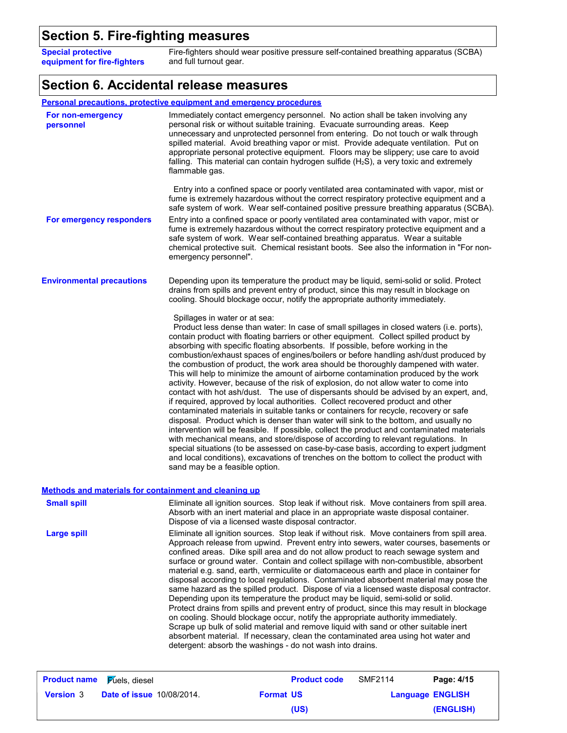## **Section 5. Fire-fighting measures**

**Special protective equipment for fire-fighters**

Fire-fighters should wear positive pressure self-contained breathing apparatus (SCBA) and full turnout gear.

## **Section 6. Accidental release measures**

|                                                              | <b>Personal precautions, protective equipment and emergency procedures</b>                                                                                                                                                                                                                                                                                                                                                                                                                                                                                                                                                                                                                                                                                                                                                                                                                                                                                                                                                                                                                                                                                                                                                                                                                                                                                                                                                                  |
|--------------------------------------------------------------|---------------------------------------------------------------------------------------------------------------------------------------------------------------------------------------------------------------------------------------------------------------------------------------------------------------------------------------------------------------------------------------------------------------------------------------------------------------------------------------------------------------------------------------------------------------------------------------------------------------------------------------------------------------------------------------------------------------------------------------------------------------------------------------------------------------------------------------------------------------------------------------------------------------------------------------------------------------------------------------------------------------------------------------------------------------------------------------------------------------------------------------------------------------------------------------------------------------------------------------------------------------------------------------------------------------------------------------------------------------------------------------------------------------------------------------------|
| For non-emergency<br>personnel                               | Immediately contact emergency personnel. No action shall be taken involving any<br>personal risk or without suitable training. Evacuate surrounding areas. Keep<br>unnecessary and unprotected personnel from entering. Do not touch or walk through<br>spilled material. Avoid breathing vapor or mist. Provide adequate ventilation. Put on<br>appropriate personal protective equipment. Floors may be slippery; use care to avoid<br>falling. This material can contain hydrogen sulfide $(H2S)$ , a very toxic and extremely<br>flammable gas.                                                                                                                                                                                                                                                                                                                                                                                                                                                                                                                                                                                                                                                                                                                                                                                                                                                                                         |
|                                                              | Entry into a confined space or poorly ventilated area contaminated with vapor, mist or<br>fume is extremely hazardous without the correct respiratory protective equipment and a<br>safe system of work. Wear self-contained positive pressure breathing apparatus (SCBA).                                                                                                                                                                                                                                                                                                                                                                                                                                                                                                                                                                                                                                                                                                                                                                                                                                                                                                                                                                                                                                                                                                                                                                  |
| For emergency responders                                     | Entry into a confined space or poorly ventilated area contaminated with vapor, mist or<br>fume is extremely hazardous without the correct respiratory protective equipment and a<br>safe system of work. Wear self-contained breathing apparatus. Wear a suitable<br>chemical protective suit. Chemical resistant boots. See also the information in "For non-<br>emergency personnel".                                                                                                                                                                                                                                                                                                                                                                                                                                                                                                                                                                                                                                                                                                                                                                                                                                                                                                                                                                                                                                                     |
| <b>Environmental precautions</b>                             | Depending upon its temperature the product may be liquid, semi-solid or solid. Protect<br>drains from spills and prevent entry of product, since this may result in blockage on<br>cooling. Should blockage occur, notify the appropriate authority immediately.                                                                                                                                                                                                                                                                                                                                                                                                                                                                                                                                                                                                                                                                                                                                                                                                                                                                                                                                                                                                                                                                                                                                                                            |
|                                                              | Spillages in water or at sea:<br>Product less dense than water: In case of small spillages in closed waters (i.e. ports),<br>contain product with floating barriers or other equipment. Collect spilled product by<br>absorbing with specific floating absorbents. If possible, before working in the<br>combustion/exhaust spaces of engines/boilers or before handling ash/dust produced by<br>the combustion of product, the work area should be thoroughly dampened with water.<br>This will help to minimize the amount of airborne contamination produced by the work<br>activity. However, because of the risk of explosion, do not allow water to come into<br>contact with hot ash/dust. The use of dispersants should be advised by an expert, and,<br>if required, approved by local authorities. Collect recovered product and other<br>contaminated materials in suitable tanks or containers for recycle, recovery or safe<br>disposal. Product which is denser than water will sink to the bottom, and usually no<br>intervention will be feasible. If possible, collect the product and contaminated materials<br>with mechanical means, and store/dispose of according to relevant regulations. In<br>special situations (to be assessed on case-by-case basis, according to expert judgment<br>and local conditions), excavations of trenches on the bottom to collect the product with<br>sand may be a feasible option. |
| <b>Methods and materials for containment and cleaning up</b> |                                                                                                                                                                                                                                                                                                                                                                                                                                                                                                                                                                                                                                                                                                                                                                                                                                                                                                                                                                                                                                                                                                                                                                                                                                                                                                                                                                                                                                             |
|                                                              | .                                                                                                                                                                                                                                                                                                                                                                                                                                                                                                                                                                                                                                                                                                                                                                                                                                                                                                                                                                                                                                                                                                                                                                                                                                                                                                                                                                                                                                           |

| <b>Small spill</b> | Eliminate all ignition sources. Stop leak if without risk. Move containers from spill area.<br>Absorb with an inert material and place in an appropriate waste disposal container.<br>Dispose of via a licensed waste disposal contractor.                                                                                                                                                                                                                                                                                                                                                                                                                                                                                                                                                                                                                                                                                                                                                                                                                                                                                                                        |
|--------------------|-------------------------------------------------------------------------------------------------------------------------------------------------------------------------------------------------------------------------------------------------------------------------------------------------------------------------------------------------------------------------------------------------------------------------------------------------------------------------------------------------------------------------------------------------------------------------------------------------------------------------------------------------------------------------------------------------------------------------------------------------------------------------------------------------------------------------------------------------------------------------------------------------------------------------------------------------------------------------------------------------------------------------------------------------------------------------------------------------------------------------------------------------------------------|
| Large spill        | Eliminate all ignition sources. Stop leak if without risk. Move containers from spill area.<br>Approach release from upwind. Prevent entry into sewers, water courses, basements or<br>confined areas. Dike spill area and do not allow product to reach sewage system and<br>surface or ground water. Contain and collect spillage with non-combustible, absorbent<br>material e.g. sand, earth, vermiculite or diatomaceous earth and place in container for<br>disposal according to local regulations. Contaminated absorbent material may pose the<br>same hazard as the spilled product. Dispose of via a licensed waste disposal contractor.<br>Depending upon its temperature the product may be liquid, semi-solid or solid.<br>Protect drains from spills and prevent entry of product, since this may result in blockage<br>on cooling. Should blockage occur, notify the appropriate authority immediately.<br>Scrape up bulk of solid material and remove liquid with sand or other suitable inert<br>absorbent material. If necessary, clean the contaminated area using hot water and<br>detergent: absorb the washings - do not wash into drains. |
|                    |                                                                                                                                                                                                                                                                                                                                                                                                                                                                                                                                                                                                                                                                                                                                                                                                                                                                                                                                                                                                                                                                                                                                                                   |

| <b>Product name Fuels</b> , diesel |                                  |                  | <b>Product code</b> | SMF2114                 | Page: 4/15 |
|------------------------------------|----------------------------------|------------------|---------------------|-------------------------|------------|
| <b>Version 3</b>                   | <b>Date of issue 10/08/2014.</b> | <b>Format US</b> |                     | <b>Language ENGLISH</b> |            |
|                                    |                                  |                  | (US)                |                         | (ENGLISH)  |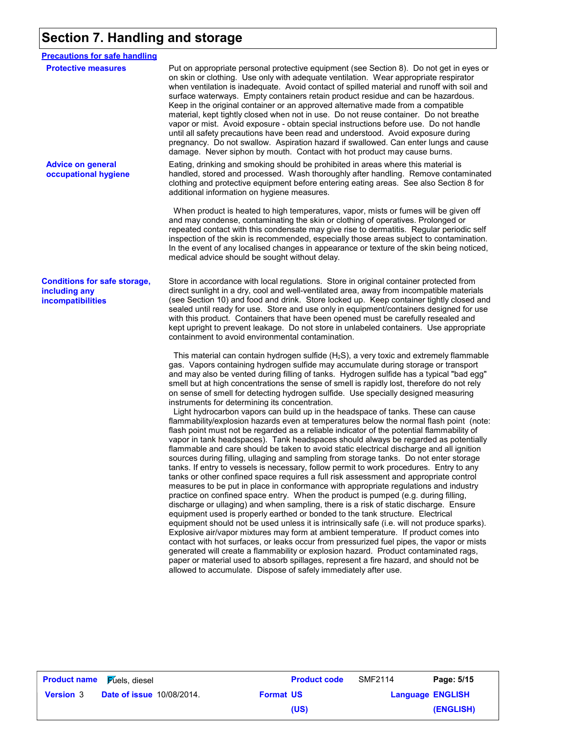## **Section 7. Handling and storage**

| <b>Precautions for safe handling</b>                                      |                                                                                                                                                                                                                                                                                                                                                                                                                                                                                                                                                                                                                                                                                                                                                                                                                                                                                                                                                                                                                                                                                                                                                                                                                                                                                                                                                                  |
|---------------------------------------------------------------------------|------------------------------------------------------------------------------------------------------------------------------------------------------------------------------------------------------------------------------------------------------------------------------------------------------------------------------------------------------------------------------------------------------------------------------------------------------------------------------------------------------------------------------------------------------------------------------------------------------------------------------------------------------------------------------------------------------------------------------------------------------------------------------------------------------------------------------------------------------------------------------------------------------------------------------------------------------------------------------------------------------------------------------------------------------------------------------------------------------------------------------------------------------------------------------------------------------------------------------------------------------------------------------------------------------------------------------------------------------------------|
| <b>Protective measures</b>                                                | Put on appropriate personal protective equipment (see Section 8). Do not get in eyes or<br>on skin or clothing. Use only with adequate ventilation. Wear appropriate respirator<br>when ventilation is inadequate. Avoid contact of spilled material and runoff with soil and<br>surface waterways. Empty containers retain product residue and can be hazardous.<br>Keep in the original container or an approved alternative made from a compatible<br>material, kept tightly closed when not in use. Do not reuse container. Do not breathe<br>vapor or mist. Avoid exposure - obtain special instructions before use. Do not handle<br>until all safety precautions have been read and understood. Avoid exposure during<br>pregnancy. Do not swallow. Aspiration hazard if swallowed. Can enter lungs and cause<br>damage. Never siphon by mouth. Contact with hot product may cause burns.                                                                                                                                                                                                                                                                                                                                                                                                                                                                 |
| <b>Advice on general</b><br>occupational hygiene                          | Eating, drinking and smoking should be prohibited in areas where this material is<br>handled, stored and processed. Wash thoroughly after handling. Remove contaminated<br>clothing and protective equipment before entering eating areas. See also Section 8 for<br>additional information on hygiene measures.                                                                                                                                                                                                                                                                                                                                                                                                                                                                                                                                                                                                                                                                                                                                                                                                                                                                                                                                                                                                                                                 |
|                                                                           | When product is heated to high temperatures, vapor, mists or fumes will be given off<br>and may condense, contaminating the skin or clothing of operatives. Prolonged or<br>repeated contact with this condensate may give rise to dermatitis. Regular periodic self<br>inspection of the skin is recommended, especially those areas subject to contamination.<br>In the event of any localised changes in appearance or texture of the skin being noticed,<br>medical advice should be sought without delay.                                                                                                                                                                                                                                                                                                                                                                                                                                                                                                                                                                                                                                                                                                                                                                                                                                                   |
| <b>Conditions for safe storage,</b><br>including any<br>incompatibilities | Store in accordance with local regulations. Store in original container protected from<br>direct sunlight in a dry, cool and well-ventilated area, away from incompatible materials<br>(see Section 10) and food and drink. Store locked up. Keep container tightly closed and<br>sealed until ready for use. Store and use only in equipment/containers designed for use<br>with this product. Containers that have been opened must be carefully resealed and<br>kept upright to prevent leakage. Do not store in unlabeled containers. Use appropriate<br>containment to avoid environmental contamination.                                                                                                                                                                                                                                                                                                                                                                                                                                                                                                                                                                                                                                                                                                                                                   |
|                                                                           | This material can contain hydrogen sulfide (H <sub>2</sub> S), a very toxic and extremely flammable<br>gas. Vapors containing hydrogen sulfide may accumulate during storage or transport<br>and may also be vented during filling of tanks. Hydrogen sulfide has a typical "bad egg"<br>smell but at high concentrations the sense of smell is rapidly lost, therefore do not rely<br>on sense of smell for detecting hydrogen sulfide. Use specially designed measuring<br>instruments for determining its concentration.<br>Light hydrocarbon vapors can build up in the headspace of tanks. These can cause<br>flammability/explosion hazards even at temperatures below the normal flash point (note:<br>flash point must not be regarded as a reliable indicator of the potential flammability of<br>vapor in tank headspaces). Tank headspaces should always be regarded as potentially<br>flammable and care should be taken to avoid static electrical discharge and all ignition<br>sources during filling, ullaging and sampling from storage tanks. Do not enter storage<br>tanks. If entry to vessels is necessary, follow permit to work procedures. Entry to any<br>tanks or other confined space requires a full risk assessment and appropriate control<br>measures to be put in place in conformance with appropriate regulations and industry |
|                                                                           | practice on confined space entry. When the product is pumped (e.g. during filling,<br>discharge or ullaging) and when sampling, there is a risk of static discharge. Ensure<br>equipment used is properly earthed or bonded to the tank structure. Electrical<br>equipment should not be used unless it is intrinsically safe (i.e. will not produce sparks).<br>Explosive air/vapor mixtures may form at ambient temperature. If product comes into<br>contact with hot surfaces, or leaks occur from pressurized fuel pipes, the vapor or mists<br>generated will create a flammability or explosion hazard. Product contaminated rags,<br>paper or material used to absorb spillages, represent a fire hazard, and should not be<br>allowed to accumulate. Dispose of safely immediately after use.                                                                                                                                                                                                                                                                                                                                                                                                                                                                                                                                                           |

| <b>Product name Fuels</b> , diesel |                                  |                  | <b>Product code</b> | SMF2114                 | Page: 5/15 |
|------------------------------------|----------------------------------|------------------|---------------------|-------------------------|------------|
| <b>Version 3</b>                   | <b>Date of issue 10/08/2014.</b> | <b>Format US</b> |                     | <b>Language ENGLISH</b> |            |
|                                    |                                  |                  | (US)                |                         | (ENGLISH)  |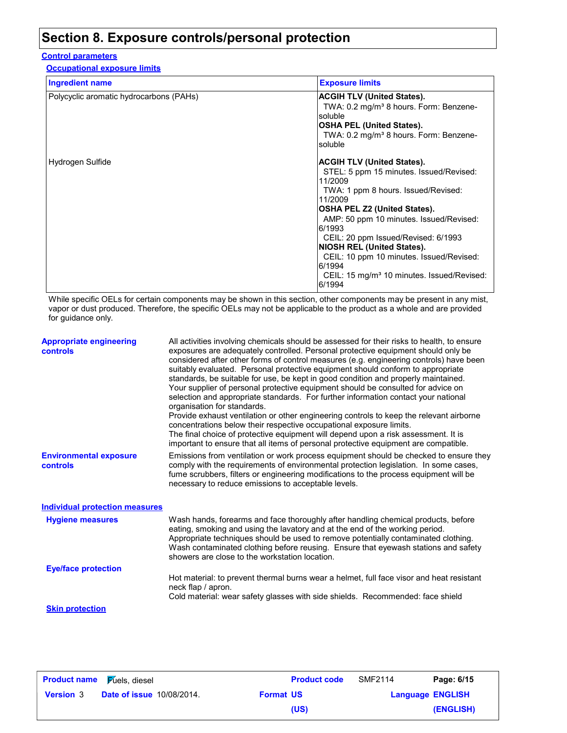## **Section 8. Exposure controls/personal protection**

#### **Control parameters**

**Occupational exposure limits**

| <b>Ingredient name</b>                  | <b>Exposure limits</b>                                                                                                                                                                                                                                                                                                                                                                                                                      |
|-----------------------------------------|---------------------------------------------------------------------------------------------------------------------------------------------------------------------------------------------------------------------------------------------------------------------------------------------------------------------------------------------------------------------------------------------------------------------------------------------|
| Polycyclic aromatic hydrocarbons (PAHs) | <b>ACGIH TLV (United States).</b><br>TWA: 0.2 mg/m <sup>3</sup> 8 hours. Form: Benzene-<br>soluble<br><b>OSHA PEL (United States).</b><br>TWA: 0.2 mg/m <sup>3</sup> 8 hours. Form: Benzene-<br>soluble                                                                                                                                                                                                                                     |
| Hydrogen Sulfide                        | <b>ACGIH TLV (United States).</b><br>STEL: 5 ppm 15 minutes. Issued/Revised:<br>11/2009<br>TWA: 1 ppm 8 hours. Issued/Revised:<br>11/2009<br><b>OSHA PEL Z2 (United States).</b><br>AMP: 50 ppm 10 minutes. Issued/Revised:<br>6/1993<br>CEIL: 20 ppm Issued/Revised: 6/1993<br><b>NIOSH REL (United States).</b><br>CEIL: 10 ppm 10 minutes. Issued/Revised:<br>6/1994<br>CEIL: 15 mg/m <sup>3</sup> 10 minutes. Issued/Revised:<br>6/1994 |

While specific OELs for certain components may be shown in this section, other components may be present in any mist, vapor or dust produced. Therefore, the specific OELs may not be applicable to the product as a whole and are provided for guidance only.

| <b>Appropriate engineering</b><br>controls | All activities involving chemicals should be assessed for their risks to health, to ensure<br>exposures are adequately controlled. Personal protective equipment should only be<br>considered after other forms of control measures (e.g. engineering controls) have been<br>suitably evaluated. Personal protective equipment should conform to appropriate<br>standards, be suitable for use, be kept in good condition and properly maintained.<br>Your supplier of personal protective equipment should be consulted for advice on<br>selection and appropriate standards. For further information contact your national<br>organisation for standards.<br>Provide exhaust ventilation or other engineering controls to keep the relevant airborne<br>concentrations below their respective occupational exposure limits.<br>The final choice of protective equipment will depend upon a risk assessment. It is<br>important to ensure that all items of personal protective equipment are compatible. |
|--------------------------------------------|------------------------------------------------------------------------------------------------------------------------------------------------------------------------------------------------------------------------------------------------------------------------------------------------------------------------------------------------------------------------------------------------------------------------------------------------------------------------------------------------------------------------------------------------------------------------------------------------------------------------------------------------------------------------------------------------------------------------------------------------------------------------------------------------------------------------------------------------------------------------------------------------------------------------------------------------------------------------------------------------------------|
| <b>Environmental exposure</b><br>controls  | Emissions from ventilation or work process equipment should be checked to ensure they<br>comply with the requirements of environmental protection legislation. In some cases,<br>fume scrubbers, filters or engineering modifications to the process equipment will be<br>necessary to reduce emissions to acceptable levels.                                                                                                                                                                                                                                                                                                                                                                                                                                                                                                                                                                                                                                                                              |
| Individual protection measures             |                                                                                                                                                                                                                                                                                                                                                                                                                                                                                                                                                                                                                                                                                                                                                                                                                                                                                                                                                                                                            |
| <b>Hygiene measures</b>                    | Wash hands, forearms and face thoroughly after handling chemical products, before<br>eating, smoking and using the lavatory and at the end of the working period.<br>Appropriate techniques should be used to remove potentially contaminated clothing.<br>Wash contaminated clothing before reusing. Ensure that eyewash stations and safety<br>showers are close to the workstation location.                                                                                                                                                                                                                                                                                                                                                                                                                                                                                                                                                                                                            |
| <b>Eye/face protection</b>                 |                                                                                                                                                                                                                                                                                                                                                                                                                                                                                                                                                                                                                                                                                                                                                                                                                                                                                                                                                                                                            |
|                                            | Hot material: to prevent thermal burns wear a helmet, full face visor and heat resistant<br>neck flap / apron.<br>Cold material: wear safety glasses with side shields. Recommended: face shield                                                                                                                                                                                                                                                                                                                                                                                                                                                                                                                                                                                                                                                                                                                                                                                                           |
| <b>Skin protection</b>                     |                                                                                                                                                                                                                                                                                                                                                                                                                                                                                                                                                                                                                                                                                                                                                                                                                                                                                                                                                                                                            |
|                                            |                                                                                                                                                                                                                                                                                                                                                                                                                                                                                                                                                                                                                                                                                                                                                                                                                                                                                                                                                                                                            |

| <b>Product name</b> Fuels, diesel |                                  |                  | <b>Product code</b> | <b>SMF2114</b>          | Page: 6/15 |
|-----------------------------------|----------------------------------|------------------|---------------------|-------------------------|------------|
| <b>Version 3</b>                  | <b>Date of issue 10/08/2014.</b> | <b>Format US</b> |                     | <b>Language ENGLISH</b> |            |
|                                   |                                  |                  | (US)                |                         | (ENGLISH)  |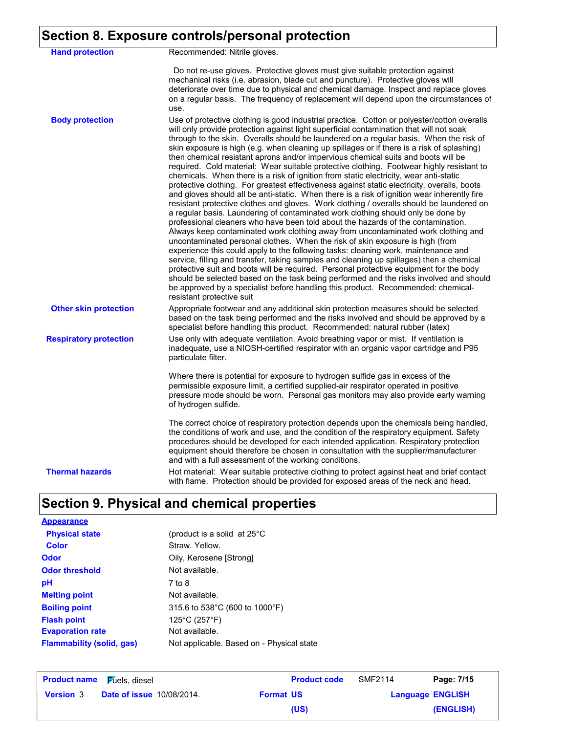### **Section 8. Exposure controls/personal protection**

| <b>Hand protection</b>        | Recommended: Nitrile gloves.                                                                                                                                                                                                                                                                                                                                                                                                                                                                                                                                                                                                                                                                                                                                                                                                                                                                                                                                                                                                                                                                                                                                                                                                                                                                                                                                                                                                                                                                                                                                                                                                                                                                                                                                                            |
|-------------------------------|-----------------------------------------------------------------------------------------------------------------------------------------------------------------------------------------------------------------------------------------------------------------------------------------------------------------------------------------------------------------------------------------------------------------------------------------------------------------------------------------------------------------------------------------------------------------------------------------------------------------------------------------------------------------------------------------------------------------------------------------------------------------------------------------------------------------------------------------------------------------------------------------------------------------------------------------------------------------------------------------------------------------------------------------------------------------------------------------------------------------------------------------------------------------------------------------------------------------------------------------------------------------------------------------------------------------------------------------------------------------------------------------------------------------------------------------------------------------------------------------------------------------------------------------------------------------------------------------------------------------------------------------------------------------------------------------------------------------------------------------------------------------------------------------|
|                               | Do not re-use gloves. Protective gloves must give suitable protection against<br>mechanical risks (i.e. abrasion, blade cut and puncture). Protective gloves will<br>deteriorate over time due to physical and chemical damage. Inspect and replace gloves<br>on a regular basis. The frequency of replacement will depend upon the circumstances of<br>use.                                                                                                                                                                                                                                                                                                                                                                                                                                                                                                                                                                                                                                                                                                                                                                                                                                                                                                                                                                                                                                                                                                                                                                                                                                                                                                                                                                                                                            |
| <b>Body protection</b>        | Use of protective clothing is good industrial practice. Cotton or polyester/cotton overalls<br>will only provide protection against light superficial contamination that will not soak<br>through to the skin. Overalls should be laundered on a regular basis. When the risk of<br>skin exposure is high (e.g. when cleaning up spillages or if there is a risk of splashing)<br>then chemical resistant aprons and/or impervious chemical suits and boots will be<br>required. Cold material: Wear suitable protective clothing. Footwear highly resistant to<br>chemicals. When there is a risk of ignition from static electricity, wear anti-static<br>protective clothing. For greatest effectiveness against static electricity, overalls, boots<br>and gloves should all be anti-static. When there is a risk of ignition wear inherently fire<br>resistant protective clothes and gloves. Work clothing / overalls should be laundered on<br>a regular basis. Laundering of contaminated work clothing should only be done by<br>professional cleaners who have been told about the hazards of the contamination.<br>Always keep contaminated work clothing away from uncontaminated work clothing and<br>uncontaminated personal clothes. When the risk of skin exposure is high (from<br>experience this could apply to the following tasks: cleaning work, maintenance and<br>service, filling and transfer, taking samples and cleaning up spillages) then a chemical<br>protective suit and boots will be required. Personal protective equipment for the body<br>should be selected based on the task being performed and the risks involved and should<br>be approved by a specialist before handling this product. Recommended: chemical-<br>resistant protective suit |
| <b>Other skin protection</b>  | Appropriate footwear and any additional skin protection measures should be selected<br>based on the task being performed and the risks involved and should be approved by a<br>specialist before handling this product. Recommended: natural rubber (latex)                                                                                                                                                                                                                                                                                                                                                                                                                                                                                                                                                                                                                                                                                                                                                                                                                                                                                                                                                                                                                                                                                                                                                                                                                                                                                                                                                                                                                                                                                                                             |
| <b>Respiratory protection</b> | Use only with adequate ventilation. Avoid breathing vapor or mist. If ventilation is<br>inadequate, use a NIOSH-certified respirator with an organic vapor cartridge and P95<br>particulate filter.                                                                                                                                                                                                                                                                                                                                                                                                                                                                                                                                                                                                                                                                                                                                                                                                                                                                                                                                                                                                                                                                                                                                                                                                                                                                                                                                                                                                                                                                                                                                                                                     |
|                               | Where there is potential for exposure to hydrogen sulfide gas in excess of the<br>permissible exposure limit, a certified supplied-air respirator operated in positive<br>pressure mode should be worn. Personal gas monitors may also provide early warning<br>of hydrogen sulfide.                                                                                                                                                                                                                                                                                                                                                                                                                                                                                                                                                                                                                                                                                                                                                                                                                                                                                                                                                                                                                                                                                                                                                                                                                                                                                                                                                                                                                                                                                                    |
|                               | The correct choice of respiratory protection depends upon the chemicals being handled,<br>the conditions of work and use, and the condition of the respiratory equipment. Safety<br>procedures should be developed for each intended application. Respiratory protection<br>equipment should therefore be chosen in consultation with the supplier/manufacturer<br>and with a full assessment of the working conditions.                                                                                                                                                                                                                                                                                                                                                                                                                                                                                                                                                                                                                                                                                                                                                                                                                                                                                                                                                                                                                                                                                                                                                                                                                                                                                                                                                                |
| <b>Thermal hazards</b>        | Hot material: Wear suitable protective clothing to protect against heat and brief contact<br>with flame. Protection should be provided for exposed areas of the neck and head.                                                                                                                                                                                                                                                                                                                                                                                                                                                                                                                                                                                                                                                                                                                                                                                                                                                                                                                                                                                                                                                                                                                                                                                                                                                                                                                                                                                                                                                                                                                                                                                                          |

## **Section 9. Physical and chemical properties**

**Physical state Melting point** Not available. **Odor** Oily, Kerosene [Strong] **pH Color** Straw. Yellow. **Evaporation rate** Not available. **Flash point** 125°C (257°F) 7 to 8 **Odor threshold** Not available. **Appearance Boiling point** 315.6 to 538°C (600 to 1000°F) **Flammability (solid, gas)** (product is a solid at 25°C Not applicable. Based on - Physical state

| <b>Product name</b> Fuels, diesel |                                  |                  | <b>Product code</b> | SMF2114                 | Page: 7/15 |
|-----------------------------------|----------------------------------|------------------|---------------------|-------------------------|------------|
| <b>Version 3</b>                  | <b>Date of issue 10/08/2014.</b> | <b>Format US</b> |                     | <b>Language ENGLISH</b> |            |
|                                   |                                  |                  | (US)                |                         | (ENGLISH)  |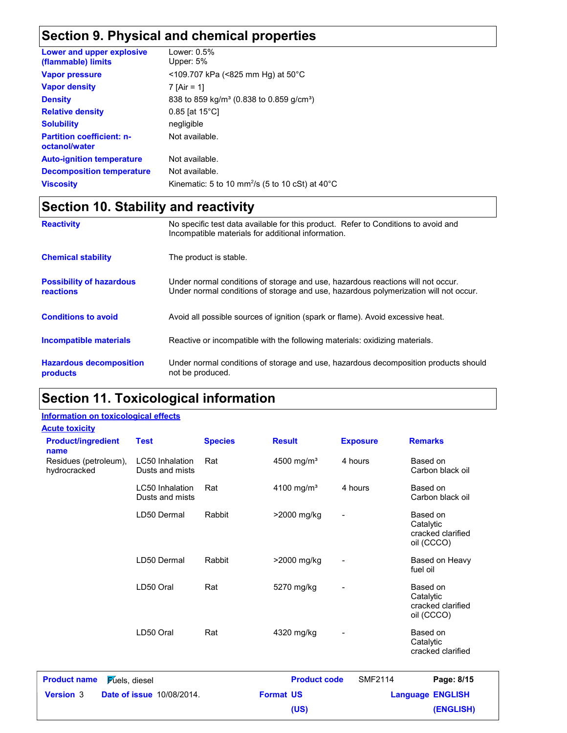## **Section 9. Physical and chemical properties**

| Lower and upper explosive<br>(flammable) limits   | Lower: 0.5%<br>Upper: 5%                                              |
|---------------------------------------------------|-----------------------------------------------------------------------|
| <b>Vapor pressure</b>                             | $109.707$ kPa (<825 mm Hg) at 50°C                                    |
| <b>Vapor density</b>                              | 7 [Air = 1]                                                           |
| <b>Density</b>                                    | 838 to 859 kg/m <sup>3</sup> (0.838 to 0.859 g/cm <sup>3</sup> )      |
| <b>Relative density</b>                           | $0.85$ [at 15 $^{\circ}$ C]                                           |
| <b>Solubility</b>                                 | negligible                                                            |
| <b>Partition coefficient: n-</b><br>octanol/water | Not available.                                                        |
| <b>Auto-ignition temperature</b>                  | Not available.                                                        |
| <b>Decomposition temperature</b>                  | Not available.                                                        |
| <b>Viscosity</b>                                  | Kinematic: 5 to 10 mm <sup>2</sup> /s (5 to 10 cSt) at $40^{\circ}$ C |

## **Section 10. Stability and reactivity**

| <b>Reactivity</b>                            | No specific test data available for this product. Refer to Conditions to avoid and<br>Incompatible materials for additional information.                                |
|----------------------------------------------|-------------------------------------------------------------------------------------------------------------------------------------------------------------------------|
| <b>Chemical stability</b>                    | The product is stable.                                                                                                                                                  |
| <b>Possibility of hazardous</b><br>reactions | Under normal conditions of storage and use, hazardous reactions will not occur.<br>Under normal conditions of storage and use, hazardous polymerization will not occur. |
| <b>Conditions to avoid</b>                   | Avoid all possible sources of ignition (spark or flame). Avoid excessive heat.                                                                                          |
| Incompatible materials                       | Reactive or incompatible with the following materials: oxidizing materials.                                                                                             |
| <b>Hazardous decomposition</b><br>products   | Under normal conditions of storage and use, hazardous decomposition products should<br>not be produced.                                                                 |

## **Section 11. Toxicological information**

#### **Information on toxicological effects**

**Acute toxicity**

| Residues (petroleum),<br>hydrocracked        | Dusts and mists<br><b>LC50</b> Inhalation | Rat    | 4500 mg/m <sup>3</sup><br>4100 mg/m <sup>3</sup> | 4 hours                  | Carbon black oil<br>Based on                             |
|----------------------------------------------|-------------------------------------------|--------|--------------------------------------------------|--------------------------|----------------------------------------------------------|
|                                              | Dusts and mists                           |        |                                                  |                          | Carbon black oil                                         |
|                                              | LD50 Dermal                               | Rabbit | >2000 mg/kg                                      |                          | Based on<br>Catalytic<br>cracked clarified<br>oil (CCCO) |
|                                              | LD50 Dermal                               | Rabbit | >2000 mg/kg                                      |                          | Based on Heavy<br>fuel oil                               |
|                                              | LD50 Oral                                 | Rat    | 5270 mg/kg                                       |                          | Based on<br>Catalytic<br>cracked clarified<br>oil (CCCO) |
|                                              | LD50 Oral                                 | Rat    | 4320 mg/kg                                       | $\overline{\phantom{0}}$ | Based on<br>Catalytic<br>cracked clarified               |
| <b>Product name</b><br><b>Fuels</b> , diesel |                                           |        | <b>Product code</b>                              | <b>SMF2114</b>           | Page: 8/15                                               |
| <b>Version 3</b>                             | <b>Date of issue 10/08/2014.</b>          |        | <b>Format US</b>                                 |                          | <b>Language ENGLISH</b>                                  |
|                                              |                                           |        | (US)                                             |                          | (ENGLISH)                                                |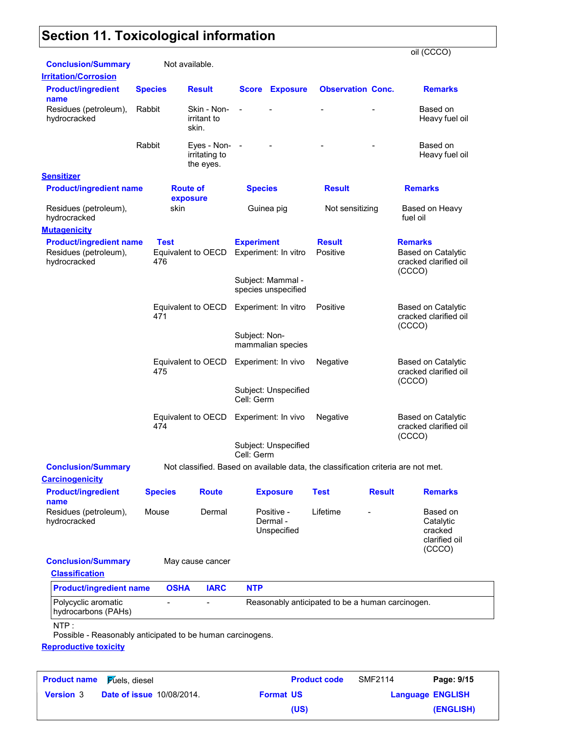## **Section 11. Toxicological information**

|                                                                         |                    |                                             |                   |                                          |                                                                                   |               | oil (CCCO)                                                              |
|-------------------------------------------------------------------------|--------------------|---------------------------------------------|-------------------|------------------------------------------|-----------------------------------------------------------------------------------|---------------|-------------------------------------------------------------------------|
| <b>Conclusion/Summary</b>                                               |                    | Not available.                              |                   |                                          |                                                                                   |               |                                                                         |
| <b>Irritation/Corrosion</b>                                             |                    |                                             |                   |                                          |                                                                                   |               |                                                                         |
| <b>Product/ingredient</b><br>name                                       | <b>Species</b>     | <b>Result</b>                               |                   | <b>Score Exposure</b>                    | <b>Observation Conc.</b>                                                          |               | <b>Remarks</b>                                                          |
| Residues (petroleum),<br>hydrocracked                                   | Rabbit             | Skin - Non-<br>irritant to<br>skin.         | $\overline{a}$    |                                          |                                                                                   |               | Based on<br>Heavy fuel oil                                              |
|                                                                         | Rabbit             | Eyes - Non- -<br>irritating to<br>the eyes. |                   |                                          |                                                                                   |               | Based on<br>Heavy fuel oil                                              |
| <b>Sensitizer</b>                                                       |                    |                                             |                   |                                          |                                                                                   |               |                                                                         |
| <b>Product/ingredient name</b>                                          |                    | <b>Route of</b><br>exposure                 | <b>Species</b>    |                                          | <b>Result</b>                                                                     |               | <b>Remarks</b>                                                          |
| Residues (petroleum),<br>hydrocracked                                   | skin               |                                             |                   | Guinea pig                               | Not sensitizing                                                                   |               | Based on Heavy<br>fuel oil                                              |
| <b>Mutagenicity</b>                                                     |                    |                                             |                   |                                          |                                                                                   |               |                                                                         |
| <b>Product/ingredient name</b><br>Residues (petroleum),<br>hydrocracked | <b>Test</b><br>476 | Equivalent to OECD                          | <b>Experiment</b> | Experiment: In vitro                     | <b>Result</b><br>Positive                                                         |               | <b>Remarks</b><br>Based on Catalytic<br>cracked clarified oil<br>(CCCO) |
|                                                                         |                    |                                             |                   | Subject: Mammal -<br>species unspecified |                                                                                   |               |                                                                         |
|                                                                         | 471                | Equivalent to OECD                          |                   | Experiment: In vitro                     | Positive                                                                          |               | <b>Based on Catalytic</b><br>cracked clarified oil<br>(CCCO)            |
|                                                                         |                    |                                             | Subject: Non-     | mammalian species                        |                                                                                   |               |                                                                         |
|                                                                         | 475                | Equivalent to OECD                          |                   | Experiment: In vivo                      | Negative                                                                          |               | <b>Based on Catalytic</b><br>cracked clarified oil<br>(CCCO)            |
|                                                                         |                    |                                             | Cell: Germ        | Subject: Unspecified                     |                                                                                   |               |                                                                         |
|                                                                         | 474                | Equivalent to OECD                          |                   | Experiment: In vivo                      | Negative                                                                          |               | <b>Based on Catalytic</b><br>cracked clarified oil<br>(CCCO)            |
|                                                                         |                    |                                             | Cell: Germ        | Subject: Unspecified                     |                                                                                   |               |                                                                         |
| <b>Conclusion/Summary</b><br><b>Carcinogenicity</b>                     |                    |                                             |                   |                                          | Not classified. Based on available data, the classification criteria are not met. |               |                                                                         |
| <b>Product/ingredient</b><br>name                                       | <b>Species</b>     | <b>Route</b>                                |                   | <b>Exposure</b>                          | <b>Test</b>                                                                       | <b>Result</b> | <b>Remarks</b>                                                          |
| Residues (petroleum),<br>hydrocracked                                   | Mouse              | Dermal                                      |                   | Positive -<br>Dermal -<br>Unspecified    | Lifetime                                                                          |               | Based on<br>Catalytic<br>cracked<br>clarified oil<br>(CCCO)             |
| <b>Conclusion/Summary</b><br><b>Classification</b>                      |                    | May cause cancer                            |                   |                                          |                                                                                   |               |                                                                         |
| <b>Product/ingredient name</b>                                          | <b>OSHA</b>        | <b>IARC</b>                                 | <b>NTP</b>        |                                          |                                                                                   |               |                                                                         |
| Polycyclic aromatic<br>hydrocarbons (PAHs)                              |                    |                                             |                   |                                          | Reasonably anticipated to be a human carcinogen.                                  |               |                                                                         |
| NTP:<br>Possible - Reasonably anticipated to be human carcinogens.      |                    |                                             |                   |                                          |                                                                                   |               |                                                                         |
| <b>Reproductive toxicity</b>                                            |                    |                                             |                   |                                          |                                                                                   |               |                                                                         |
|                                                                         |                    |                                             |                   |                                          |                                                                                   |               |                                                                         |

**Date of issue** 10/08/2014. **Version** 3 **Format US Language Fuels, diesel Construction Construction Construction Construction Page: 9/15 Language ENGLISH (ENGLISH) Product name** SMF2114 **(US)**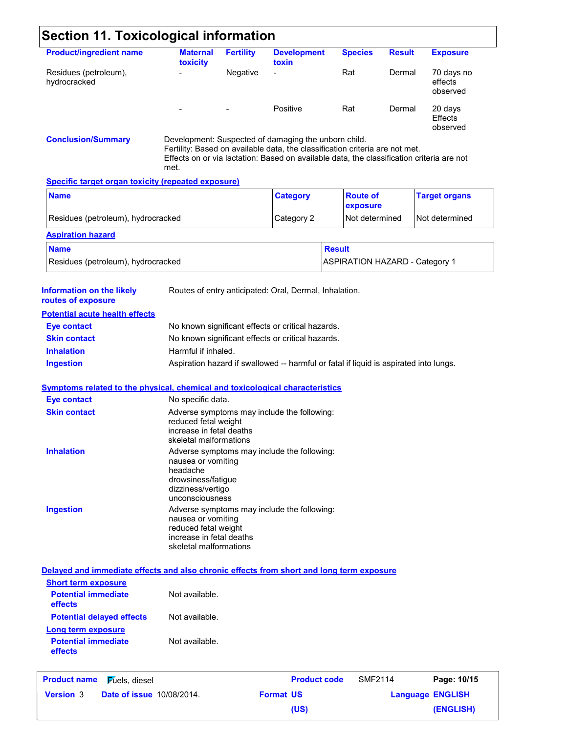| <b>Section 11. Toxicological information</b>                                             |                                                                                                  |                  |                                                                                                                                                                                                                                   |                                       |               |                                   |
|------------------------------------------------------------------------------------------|--------------------------------------------------------------------------------------------------|------------------|-----------------------------------------------------------------------------------------------------------------------------------------------------------------------------------------------------------------------------------|---------------------------------------|---------------|-----------------------------------|
| <b>Product/ingredient name</b>                                                           | <b>Maternal</b><br>toxicity                                                                      | <b>Fertility</b> | <b>Development</b><br>toxin                                                                                                                                                                                                       | <b>Species</b>                        | <b>Result</b> | <b>Exposure</b>                   |
| Residues (petroleum),<br>hydrocracked                                                    |                                                                                                  | Negative         |                                                                                                                                                                                                                                   | Rat                                   | Dermal        | 70 days no<br>effects<br>observed |
|                                                                                          |                                                                                                  |                  | Positive                                                                                                                                                                                                                          | Rat                                   | Dermal        | 20 days<br>Effects<br>observed    |
| <b>Conclusion/Summary</b>                                                                | met.                                                                                             |                  | Development: Suspected of damaging the unborn child.<br>Fertility: Based on available data, the classification criteria are not met.<br>Effects on or via lactation: Based on available data, the classification criteria are not |                                       |               |                                   |
| <b>Specific target organ toxicity (repeated exposure)</b>                                |                                                                                                  |                  |                                                                                                                                                                                                                                   |                                       |               |                                   |
| <b>Name</b>                                                                              |                                                                                                  |                  | <b>Category</b>                                                                                                                                                                                                                   | <b>Route of</b><br>exposure           |               | <b>Target organs</b>              |
| Residues (petroleum), hydrocracked                                                       |                                                                                                  |                  | Category 2                                                                                                                                                                                                                        | Not determined                        |               | Not determined                    |
| <b>Aspiration hazard</b>                                                                 |                                                                                                  |                  |                                                                                                                                                                                                                                   |                                       |               |                                   |
| <b>Name</b>                                                                              |                                                                                                  |                  |                                                                                                                                                                                                                                   | <b>Result</b>                         |               |                                   |
| Residues (petroleum), hydrocracked                                                       |                                                                                                  |                  |                                                                                                                                                                                                                                   | <b>ASPIRATION HAZARD - Category 1</b> |               |                                   |
| <b>Information on the likely</b><br>routes of exposure                                   |                                                                                                  |                  | Routes of entry anticipated: Oral, Dermal, Inhalation.                                                                                                                                                                            |                                       |               |                                   |
| <b>Potential acute health effects</b>                                                    |                                                                                                  |                  |                                                                                                                                                                                                                                   |                                       |               |                                   |
| <b>Eye contact</b>                                                                       |                                                                                                  |                  | No known significant effects or critical hazards.                                                                                                                                                                                 |                                       |               |                                   |
| <b>Skin contact</b>                                                                      |                                                                                                  |                  | No known significant effects or critical hazards.                                                                                                                                                                                 |                                       |               |                                   |
| <b>Inhalation</b>                                                                        | Harmful if inhaled.                                                                              |                  |                                                                                                                                                                                                                                   |                                       |               |                                   |
| <b>Ingestion</b>                                                                         |                                                                                                  |                  | Aspiration hazard if swallowed -- harmful or fatal if liquid is aspirated into lungs.                                                                                                                                             |                                       |               |                                   |
| <b>Symptoms related to the physical, chemical and toxicological characteristics</b>      |                                                                                                  |                  |                                                                                                                                                                                                                                   |                                       |               |                                   |
| <b>Eye contact</b>                                                                       | No specific data.                                                                                |                  |                                                                                                                                                                                                                                   |                                       |               |                                   |
| <b>Skin contact</b>                                                                      | reduced fetal weight<br>increase in fetal deaths<br>skeletal malformations                       |                  | Adverse symptoms may include the following:                                                                                                                                                                                       |                                       |               |                                   |
| <b>Inhalation</b>                                                                        | nausea or vomiting<br>headache<br>drowsiness/fatigue<br>dizziness/vertigo<br>unconsciousness     |                  | Adverse symptoms may include the following:                                                                                                                                                                                       |                                       |               |                                   |
| <b>Ingestion</b>                                                                         | nausea or vomiting<br>reduced fetal weight<br>increase in fetal deaths<br>skeletal malformations |                  | Adverse symptoms may include the following:                                                                                                                                                                                       |                                       |               |                                   |
| Delayed and immediate effects and also chronic effects from short and long term exposure |                                                                                                  |                  |                                                                                                                                                                                                                                   |                                       |               |                                   |
| <b>Short term exposure</b>                                                               |                                                                                                  |                  |                                                                                                                                                                                                                                   |                                       |               |                                   |
| <b>Potential immediate</b><br>effects                                                    | Not available.                                                                                   |                  |                                                                                                                                                                                                                                   |                                       |               |                                   |
| <b>Potential delayed effects</b>                                                         | Not available.                                                                                   |                  |                                                                                                                                                                                                                                   |                                       |               |                                   |
| <b>Long term exposure</b>                                                                |                                                                                                  |                  |                                                                                                                                                                                                                                   |                                       |               |                                   |
| <b>Potential immediate</b><br>effects                                                    | Not available.                                                                                   |                  |                                                                                                                                                                                                                                   |                                       |               |                                   |
| <b>Product name</b><br><b>Fuels</b> , diesel                                             |                                                                                                  |                  | <b>Product code</b>                                                                                                                                                                                                               | <b>SMF2114</b>                        |               | Page: 10/15                       |
| <b>Version 3</b><br><b>Date of issue 10/08/2014.</b>                                     |                                                                                                  |                  | <b>Format US</b>                                                                                                                                                                                                                  |                                       |               |                                   |
|                                                                                          |                                                                                                  |                  |                                                                                                                                                                                                                                   |                                       |               | <b>Language ENGLISH</b>           |
|                                                                                          |                                                                                                  |                  | (US)                                                                                                                                                                                                                              |                                       |               | (ENGLISH)                         |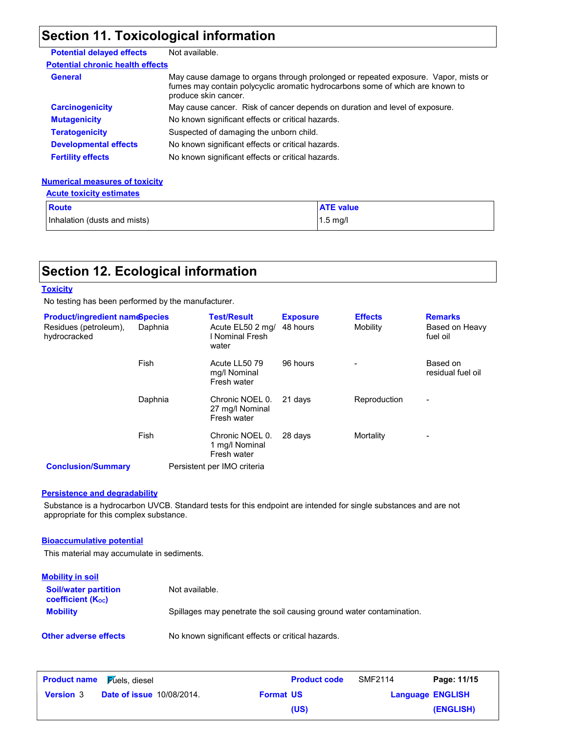## **Section 11. Toxicological information**

| <b>Potential delayed effects</b>        | Not available.                                                                                                                                                                              |
|-----------------------------------------|---------------------------------------------------------------------------------------------------------------------------------------------------------------------------------------------|
| <b>Potential chronic health effects</b> |                                                                                                                                                                                             |
| <b>General</b>                          | May cause damage to organs through prolonged or repeated exposure. Vapor, mists or<br>fumes may contain polycyclic aromatic hydrocarbons some of which are known to<br>produce skin cancer. |
| <b>Carcinogenicity</b>                  | May cause cancer. Risk of cancer depends on duration and level of exposure.                                                                                                                 |
| <b>Mutagenicity</b>                     | No known significant effects or critical hazards.                                                                                                                                           |
| <b>Teratogenicity</b>                   | Suspected of damaging the unborn child.                                                                                                                                                     |
| <b>Developmental effects</b>            | No known significant effects or critical hazards.                                                                                                                                           |
| <b>Fertility effects</b>                | No known significant effects or critical hazards.                                                                                                                                           |

#### **Numerical measures of toxicity Acute toxicity estimates**

| <b>ACUTE TOXICITY ESTIMATES</b> |                  |
|---------------------------------|------------------|
| Route                           | <b>ATE</b> value |
| Inhalation (dusts and mists)    | $1.5$ ma/        |

## **Section 12. Ecological information**

#### **Toxicity**

No testing has been performed by the manufacturer.

| <b>Product/ingredient name@pecies</b><br>Residues (petroleum),<br>hydrocracked | Daphnia | <b>Test/Result</b><br>Acute EL50 2 mg/<br>I Nominal Fresh<br>water | <b>Exposure</b><br>48 hours | <b>Effects</b><br>Mobility | <b>Remarks</b><br>Based on Heavy<br>fuel oil |
|--------------------------------------------------------------------------------|---------|--------------------------------------------------------------------|-----------------------------|----------------------------|----------------------------------------------|
|                                                                                | Fish    | Acute LL50 79<br>mg/l Nominal<br>Fresh water                       | 96 hours                    |                            | Based on<br>residual fuel oil                |
|                                                                                | Daphnia | Chronic NOEL 0.<br>27 mg/l Nominal<br>Fresh water                  | 21 days                     | Reproduction               | -                                            |
|                                                                                | Fish    | Chronic NOEL 0.<br>1 mg/l Nominal<br>Fresh water                   | 28 days                     | Mortality                  | -                                            |
| <b>Conclusion/Summary</b>                                                      |         | Persistent per IMO criteria                                        |                             |                            |                                              |

#### **Persistence and degradability**

Substance is a hydrocarbon UVCB. Standard tests for this endpoint are intended for single substances and are not appropriate for this complex substance.

#### **Bioaccumulative potential**

This material may accumulate in sediments.

| <b>Mobility in soil</b>                                       |                                                                      |
|---------------------------------------------------------------|----------------------------------------------------------------------|
| <b>Soil/water partition</b><br>coefficient (K <sub>oc</sub> ) | Not available.                                                       |
| <b>Mobility</b>                                               | Spillages may penetrate the soil causing ground water contamination. |
| <b>Other adverse effects</b>                                  | No known significant effects or critical hazards.                    |

| <b>Product name</b> | <b>Fuels</b> , diesel            |                  | <b>Product code</b> | SMF2114                 | Page: 11/15 |
|---------------------|----------------------------------|------------------|---------------------|-------------------------|-------------|
| <b>Version 3</b>    | <b>Date of issue 10/08/2014.</b> | <b>Format US</b> |                     | <b>Language ENGLISH</b> |             |
|                     |                                  |                  | (US)                |                         | (ENGLISH)   |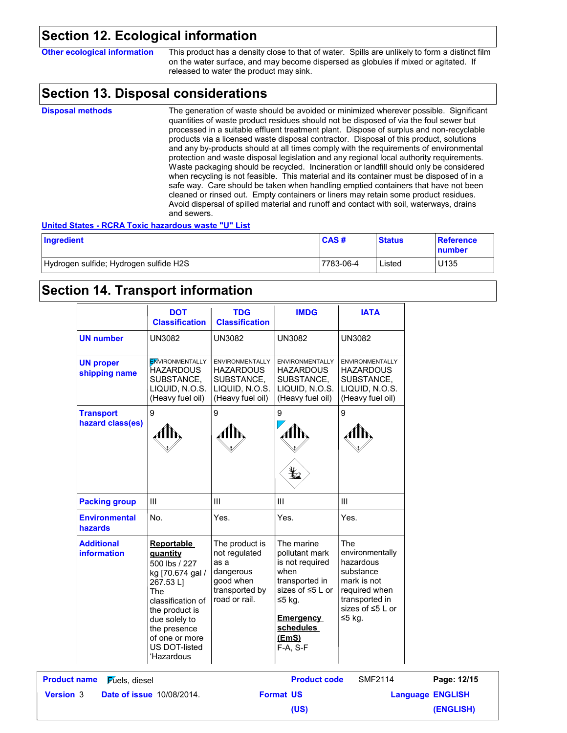### **Section 12. Ecological information**

| <b>Other ecological information</b> | This product has a density close to that of water. Spills are unlikely to form a distinct film |
|-------------------------------------|------------------------------------------------------------------------------------------------|
|                                     |                                                                                                |
|                                     | on the water surface, and may become dispersed as globules if mixed or agitated. If            |
|                                     |                                                                                                |
|                                     | released to water the product may sink.                                                        |
|                                     |                                                                                                |

### **Section 13. Disposal considerations**

The generation of waste should be avoided or minimized wherever possible. Significant quantities of waste product residues should not be disposed of via the foul sewer but processed in a suitable effluent treatment plant. Dispose of surplus and non-recyclable products via a licensed waste disposal contractor. Disposal of this product, solutions and any by-products should at all times comply with the requirements of environmental protection and waste disposal legislation and any regional local authority requirements. Waste packaging should be recycled. Incineration or landfill should only be considered when recycling is not feasible. This material and its container must be disposed of in a safe way. Care should be taken when handling emptied containers that have not been cleaned or rinsed out. Empty containers or liners may retain some product residues. Avoid dispersal of spilled material and runoff and contact with soil, waterways, drains and sewers. **Disposal methods**

#### **United States - RCRA Toxic hazardous waste "U" List**

| Ingredient                             | CAS#      | <b>Status</b> | Reference<br>number |
|----------------------------------------|-----------|---------------|---------------------|
| Hydrogen sulfide; Hydrogen sulfide H2S | 7783-06-4 | Listed        | U135                |

### **Section 14. Transport information**

|                                              | <b>DOT</b><br><b>Classification</b>                                                                                                                                                                                   | <b>TDG</b><br><b>Classification</b>                                                                  | <b>IMDG</b>                                                                                                                                                           | <b>IATA</b>                                                                                                                      |                         |
|----------------------------------------------|-----------------------------------------------------------------------------------------------------------------------------------------------------------------------------------------------------------------------|------------------------------------------------------------------------------------------------------|-----------------------------------------------------------------------------------------------------------------------------------------------------------------------|----------------------------------------------------------------------------------------------------------------------------------|-------------------------|
| <b>UN number</b>                             | <b>UN3082</b>                                                                                                                                                                                                         | <b>UN3082</b>                                                                                        | <b>UN3082</b>                                                                                                                                                         | <b>UN3082</b>                                                                                                                    |                         |
| <b>UN proper</b><br>shipping name            | <b>ENVIRONMENTALLY</b><br>HAZARDOUS<br>SUBSTANCE,<br>LIQUID, N.O.S.<br>(Heavy fuel oil)                                                                                                                               | <b>ENVIRONMENTALLY</b><br><b>HAZARDOUS</b><br>SUBSTANCE,<br>LIQUID, N.O.S.<br>(Heavy fuel oil)       | ENVIRONMENTALLY<br><b>HAZARDOUS</b><br>SUBSTANCE,<br>LIQUID, N.O.S.<br>(Heavy fuel oil)                                                                               | <b>ENVIRONMENTALLY</b><br><b>HAZARDOUS</b><br>SUBSTANCE,<br>LIQUID, N.O.S.<br>(Heavy fuel oil)                                   |                         |
| <b>Transport</b><br>hazard class(es)         | 9<br>AllN                                                                                                                                                                                                             | 9<br>Alb,                                                                                            | 9<br>AIN<br>¥2                                                                                                                                                        | 9                                                                                                                                |                         |
| <b>Packing group</b>                         | III                                                                                                                                                                                                                   | III                                                                                                  | $\mathbf{III}$                                                                                                                                                        | III                                                                                                                              |                         |
| <b>Environmental</b><br>hazards              | No.                                                                                                                                                                                                                   | Yes.                                                                                                 | Yes.                                                                                                                                                                  | Yes.                                                                                                                             |                         |
| <b>Additional</b><br><b>information</b>      | <b>Reportable</b><br>quantity<br>500 lbs / 227<br>kg [70.674 gal /<br>267.53L]<br><b>The</b><br>classification of<br>the product is<br>due solely to<br>the presence<br>of one or more<br>US DOT-listed<br>'Hazardous | The product is<br>not regulated<br>as a<br>dangerous<br>good when<br>transported by<br>road or rail. | The marine<br>pollutant mark<br>is not required<br>when<br>transported in<br>sizes of $\leq 5$ L or<br>$≤5$ kg.<br><b>Emergency</b><br>schedules<br>(EmS)<br>F-A, S-F | The<br>environmentally<br>hazardous<br>substance<br>mark is not<br>required when<br>transported in<br>sizes of ≤5 L or<br>≤5 kg. |                         |
| <b>Product name</b><br><b>Fuels</b> , diesel |                                                                                                                                                                                                                       |                                                                                                      | <b>Product code</b>                                                                                                                                                   | <b>SMF2114</b>                                                                                                                   | Page: 12/15             |
| Version 3                                    | <b>Date of issue 10/08/2014.</b>                                                                                                                                                                                      |                                                                                                      | <b>Format US</b>                                                                                                                                                      |                                                                                                                                  | <b>Language ENGLISH</b> |
|                                              |                                                                                                                                                                                                                       |                                                                                                      | (US)                                                                                                                                                                  |                                                                                                                                  | (ENGLISH)               |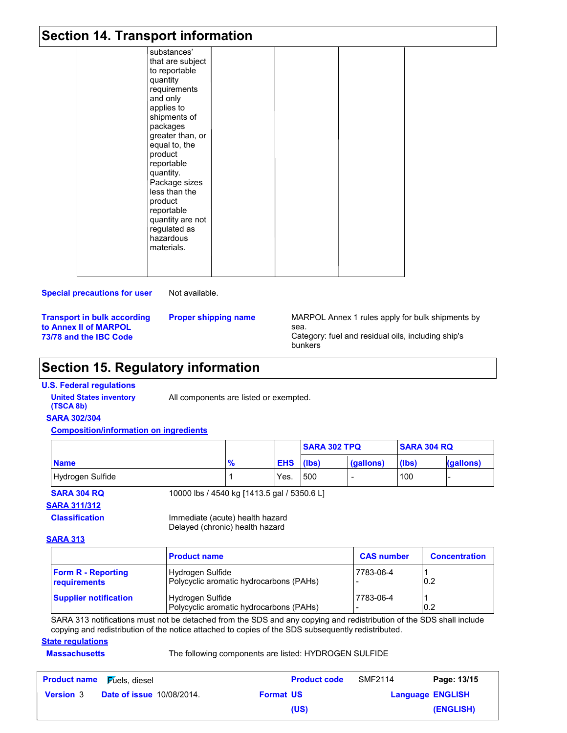### **Section 14. Transport information**

| substances'<br>that are subject<br>to reportable<br>quantity<br>requirements<br>and only<br>applies to<br>shipments of<br>packages<br>greater than, or<br>equal to, the<br>product<br>reportable<br>quantity.<br>Package sizes<br>less than the<br>product<br>reportable<br>quantity are not<br>regulated as<br>hazardous<br>materials. |  |  |
|-----------------------------------------------------------------------------------------------------------------------------------------------------------------------------------------------------------------------------------------------------------------------------------------------------------------------------------------|--|--|

#### **Special precautions for user**

Not available.

**Transport in bulk according to Annex II of MARPOL 73/78 and the IBC Code**

**Proper shipping name**

MARPOL Annex 1 rules apply for bulk shipments by sea. Category: fuel and residual oils, including ship's bunkers

## **Section 15. Regulatory information**

#### **U.S. Federal regulations**

**(TSCA 8b)**

**United States inventory** All components are listed or exempted.

#### **SARA 302/304**

**Composition/information on ingredients**

|                  |    |            | <b>SARA 302 TPQ</b> |           | <b>SARA 304 RQ</b> |           |
|------------------|----|------------|---------------------|-----------|--------------------|-----------|
| <b>Name</b>      | 70 | <b>EHS</b> | (lbs)               | (gallons) | (lbs)              | (gallons) |
| Hydrogen Sulfide |    | Yes.       | 500                 |           | 100                |           |

**SARA 304 RQ** 10000 lbs / 4540 kg [1413.5 gal / 5350.6 L]

#### **SARA 311/312**

**Classification** Immediate (acute) health hazard Delayed (chronic) health hazard

#### **SARA 313**

|                                           | <b>Product name</b>                                         | <b>CAS number</b> | <b>Concentration</b> |
|-------------------------------------------|-------------------------------------------------------------|-------------------|----------------------|
| <b>Form R - Reporting</b><br>requirements | Hydrogen Sulfide<br>Polycyclic aromatic hydrocarbons (PAHs) | 7783-06-4         | 0.2                  |
| <b>Supplier notification</b>              | Hydrogen Sulfide<br>Polycyclic aromatic hydrocarbons (PAHs) | 7783-06-4         | 0.2                  |

SARA 313 notifications must not be detached from the SDS and any copying and redistribution of the SDS shall include copying and redistribution of the notice attached to copies of the SDS subsequently redistributed.

### **State regulations**

#### **Massachusetts** The following components are listed: HYDROGEN SULFIDE

| <b>Product name</b> | $\mathsf F$ úels, diesel         |                  | <b>Product code</b> | <b>SMF2114</b> | Page: 13/15             |
|---------------------|----------------------------------|------------------|---------------------|----------------|-------------------------|
| <b>Version 3</b>    | <b>Date of issue 10/08/2014.</b> | <b>Format US</b> |                     |                | <b>Language ENGLISH</b> |
|                     |                                  |                  | (US)                |                | (ENGLISH)               |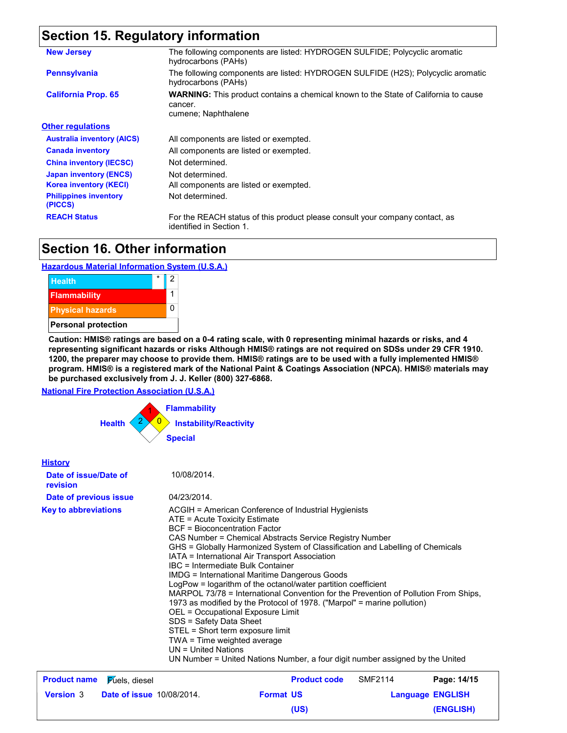## **Section 15. Regulatory information**

| <b>New Jersey</b>                                                                                                               | The following components are listed: HYDROGEN SULFIDE; Polycyclic aromatic<br>hydrocarbons (PAHs)                            |  |  |  |
|---------------------------------------------------------------------------------------------------------------------------------|------------------------------------------------------------------------------------------------------------------------------|--|--|--|
| <b>Pennsylvania</b>                                                                                                             | The following components are listed: HYDROGEN SULFIDE (H2S); Polycyclic aromatic<br>hydrocarbons (PAHs)                      |  |  |  |
| <b>California Prop. 65</b>                                                                                                      | <b>WARNING:</b> This product contains a chemical known to the State of California to cause<br>cancer.<br>cumene; Naphthalene |  |  |  |
| <b>Other regulations</b>                                                                                                        |                                                                                                                              |  |  |  |
| <b>Australia inventory (AICS)</b>                                                                                               | All components are listed or exempted.                                                                                       |  |  |  |
| <b>Canada inventory</b>                                                                                                         | All components are listed or exempted.                                                                                       |  |  |  |
| <b>China inventory (IECSC)</b>                                                                                                  | Not determined.                                                                                                              |  |  |  |
| <b>Japan inventory (ENCS)</b>                                                                                                   | Not determined.                                                                                                              |  |  |  |
| <b>Korea inventory (KECI)</b>                                                                                                   | All components are listed or exempted.                                                                                       |  |  |  |
| <b>Philippines inventory</b><br>(PICCS)                                                                                         | Not determined.                                                                                                              |  |  |  |
| <b>REACH Status</b><br>For the REACH status of this product please consult your company contact, as<br>identified in Section 1. |                                                                                                                              |  |  |  |

### **Section 16. Other information**

### **Hazardous Material Information System (U.S.A.)**



**Caution: HMIS® ratings are based on a 0-4 rating scale, with 0 representing minimal hazards or risks, and 4 representing significant hazards or risks Although HMIS® ratings are not required on SDSs under 29 CFR 1910. 1200, the preparer may choose to provide them. HMIS® ratings are to be used with a fully implemented HMIS® program. HMIS® is a registered mark of the National Paint & Coatings Association (NPCA). HMIS® materials may be purchased exclusively from J. J. Keller (800) 327-6868.**

**National Fire Protection Association (U.S.A.)**



| <b>History</b>                    |                       |                                                                                                                                                                                                                                                                                                                                                                                                                                                                                                                                                                                                                                                                                                                                                                                                                                                                                                 |
|-----------------------------------|-----------------------|-------------------------------------------------------------------------------------------------------------------------------------------------------------------------------------------------------------------------------------------------------------------------------------------------------------------------------------------------------------------------------------------------------------------------------------------------------------------------------------------------------------------------------------------------------------------------------------------------------------------------------------------------------------------------------------------------------------------------------------------------------------------------------------------------------------------------------------------------------------------------------------------------|
| Date of issue/Date of<br>revision |                       | 10/08/2014.                                                                                                                                                                                                                                                                                                                                                                                                                                                                                                                                                                                                                                                                                                                                                                                                                                                                                     |
| Date of previous issue            |                       | 04/23/2014.                                                                                                                                                                                                                                                                                                                                                                                                                                                                                                                                                                                                                                                                                                                                                                                                                                                                                     |
| <b>Key to abbreviations</b>       |                       | ACGIH = American Conference of Industrial Hygienists<br>ATE = Acute Toxicity Estimate<br><b>BCF</b> = Bioconcentration Factor<br>CAS Number = Chemical Abstracts Service Registry Number<br>GHS = Globally Harmonized System of Classification and Labelling of Chemicals<br>IATA = International Air Transport Association<br>IBC = Intermediate Bulk Container<br>IMDG = International Maritime Dangerous Goods<br>LogPow = logarithm of the octanol/water partition coefficient<br>MARPOL 73/78 = International Convention for the Prevention of Pollution From Ships,<br>1973 as modified by the Protocol of 1978. ("Marpol" = marine pollution)<br>OEL = Occupational Exposure Limit<br>SDS = Safety Data Sheet<br>STEL = Short term exposure limit<br>TWA = Time weighted average<br>UN = United Nations<br>UN Number = United Nations Number, a four digit number assigned by the United |
| <b>Product name</b>               | <b>Fuels</b> , diesel | <b>Product code</b><br>SMF2114<br>Page: 14/15                                                                                                                                                                                                                                                                                                                                                                                                                                                                                                                                                                                                                                                                                                                                                                                                                                                   |

| <b>Product name</b> | <i>F</i> úels, diesel            |                  | <b>Product code</b> | <b>SMF2114</b> | Page: 14/15             |
|---------------------|----------------------------------|------------------|---------------------|----------------|-------------------------|
| <b>Version 3</b>    | <b>Date of issue 10/08/2014.</b> | <b>Format US</b> |                     |                | <b>Language ENGLISH</b> |
|                     |                                  |                  | (US)                |                | (ENGLISH)               |